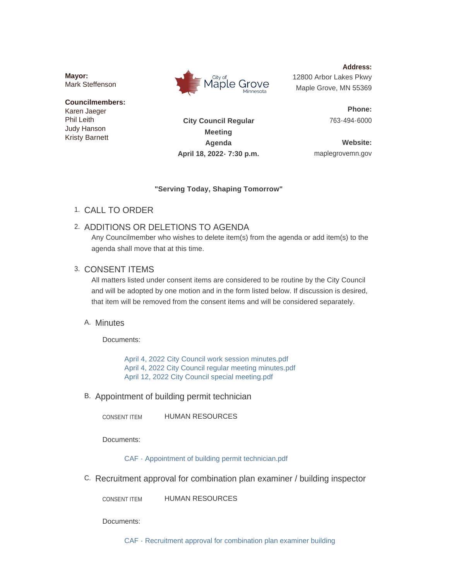**Mayor:** Mark Steffenson

#### **Councilmembers:** Karen Jaeger

Phil Leith Judy Hanson Kristy Barnett



**Address:** 12800 Arbor Lakes Pkwy Maple Grove, MN 55369

> **Phone:** 763-494-6000

**City Council Regular Meeting Agenda April 18, 2022- 7:30 p.m.**

**Website:** maplegrovemn.gov

### **"Serving Today, Shaping Tomorrow"**

CALL TO ORDER 1.

# 2. ADDITIONS OR DELETIONS TO AGENDA

Any Councilmember who wishes to delete item(s) from the agenda or add item(s) to the agenda shall move that at this time.

## 3. CONSENT ITEMS

All matters listed under consent items are considered to be routine by the City Council and will be adopted by one motion and in the form listed below. If discussion is desired, that item will be removed from the consent items and will be considered separately.

# A. Minutes

Documents:

[April 4, 2022 City Council work session minutes.pdf](https://www.maplegrovemn.gov/AgendaCenter/ViewFile/Item/1691?fileID=6044) [April 4, 2022 City Council regular meeting minutes.pdf](https://www.maplegrovemn.gov/AgendaCenter/ViewFile/Item/1691?fileID=6045) [April 12, 2022 City Council special meeting.pdf](https://www.maplegrovemn.gov/AgendaCenter/ViewFile/Item/1691?fileID=6056)

B. Appointment of building permit technician

HUMAN RESOURCES CONSENT ITEM

Documents:

[CAF - Appointment of building permit technician.pdf](https://www.maplegrovemn.gov/AgendaCenter/ViewFile/Item/1705?fileID=6051)

C. Recruitment approval for combination plan examiner / building inspector

HUMAN RESOURCES CONSENT ITEM

Documents:

[CAF - Recruitment approval for combination plan examiner building](https://www.maplegrovemn.gov/AgendaCenter/ViewFile/Item/1740?fileID=6062)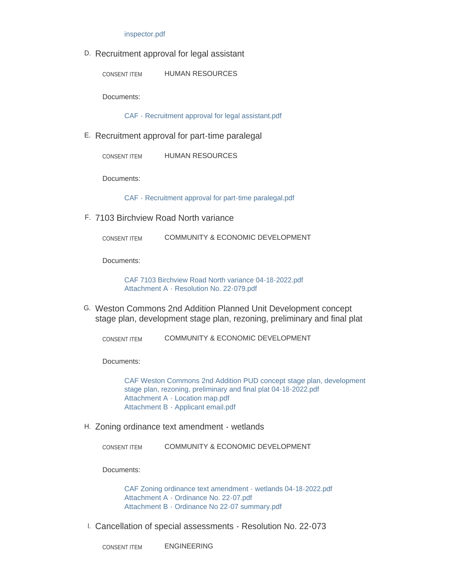#### inspector.pdf

D. Recruitment approval for legal assistant

HUMAN RESOURCES CONSENT ITEM

Documents:

[CAF - Recruitment approval for legal assistant.pdf](https://www.maplegrovemn.gov/AgendaCenter/ViewFile/Item/1679?fileID=6049)

E. Recruitment approval for part-time paralegal

HUMAN RESOURCES CONSENT ITEM

Documents:

[CAF - Recruitment approval for part-time paralegal.pdf](https://www.maplegrovemn.gov/AgendaCenter/ViewFile/Item/1678?fileID=6050)

7103 Birchview Road North variance F.

COMMUNITY & ECONOMIC DEVELOPMENT CONSENT ITEM

Documents:

[CAF 7103 Birchview Road North variance 04-18-2022.pdf](https://www.maplegrovemn.gov/AgendaCenter/ViewFile/Item/1684?fileID=6034) [Attachment A - Resolution No. 22-079.pdf](https://www.maplegrovemn.gov/AgendaCenter/ViewFile/Item/1684?fileID=6035)

Weston Commons 2nd Addition Planned Unit Development concept G. stage plan, development stage plan, rezoning, preliminary and final plat

COMMUNITY & ECONOMIC DEVELOPMENT CONSENT ITEM

Documents:

[CAF Weston Commons 2nd Addition PUD concept stage plan, development](https://www.maplegrovemn.gov/AgendaCenter/ViewFile/Item/1683?fileID=6036)  stage plan, rezoning, preliminary and final plat 04-18-2022.pdf [Attachment A - Location map.pdf](https://www.maplegrovemn.gov/AgendaCenter/ViewFile/Item/1683?fileID=6038) [Attachment B - Applicant email.pdf](https://www.maplegrovemn.gov/AgendaCenter/ViewFile/Item/1683?fileID=6037)

Zoning ordinance text amendment - wetlands H.

COMMUNITY & ECONOMIC DEVELOPMENT CONSENT ITEM

Documents:

[CAF Zoning ordinance text amendment - wetlands 04-18-2022.pdf](https://www.maplegrovemn.gov/AgendaCenter/ViewFile/Item/1682?fileID=6031) [Attachment A - Ordinance No. 22-07.pdf](https://www.maplegrovemn.gov/AgendaCenter/ViewFile/Item/1682?fileID=6033) [Attachment B - Ordinance No 22-07 summary.pdf](https://www.maplegrovemn.gov/AgendaCenter/ViewFile/Item/1682?fileID=6032)

Cancellation of special assessments - Resolution No. 22-073 I.

ENGINEERING CONSENT ITEM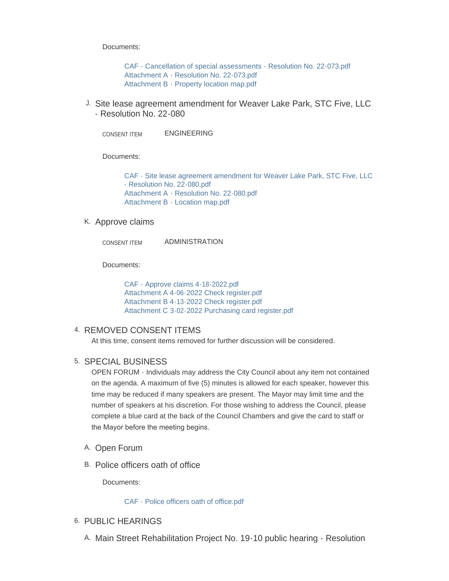Documents:

[CAF - Cancellation of special assessments - Resolution No. 22-073.pdf](https://www.maplegrovemn.gov/AgendaCenter/ViewFile/Item/1688?fileID=6026) [Attachment A - Resolution No. 22-073.pdf](https://www.maplegrovemn.gov/AgendaCenter/ViewFile/Item/1688?fileID=6028) [Attachment B - Property location map.pdf](https://www.maplegrovemn.gov/AgendaCenter/ViewFile/Item/1688?fileID=6027)

J. Site lease agreement amendment for Weaver Lake Park, STC Five, LLC - Resolution No. 22-080

ENGINEERING CONSENT ITEM

Documents:

[CAF - Site lease agreement amendment for Weaver Lake Park, STC Five, LLC](https://www.maplegrovemn.gov/AgendaCenter/ViewFile/Item/1687?fileID=6023)  - Resolution No. 22-080.pdf [Attachment A - Resolution No. 22-080.pdf](https://www.maplegrovemn.gov/AgendaCenter/ViewFile/Item/1687?fileID=6025) [Attachment B - Location map.pdf](https://www.maplegrovemn.gov/AgendaCenter/ViewFile/Item/1687?fileID=6024)

#### K. Approve claims

ADMINISTRATION CONSENT ITEM

Documents:

[CAF - Approve claims 4-18-2022.pdf](https://www.maplegrovemn.gov/AgendaCenter/ViewFile/Item/1738?fileID=6057) [Attachment A 4-06-2022 Check register.pdf](https://www.maplegrovemn.gov/AgendaCenter/ViewFile/Item/1738?fileID=6060) [Attachment B 4-13-2022 Check register.pdf](https://www.maplegrovemn.gov/AgendaCenter/ViewFile/Item/1738?fileID=6058) [Attachment C 3-02-2022 Purchasing card register.pdf](https://www.maplegrovemn.gov/AgendaCenter/ViewFile/Item/1738?fileID=6059)

### 4. REMOVED CONSENT ITEMS

At this time, consent items removed for further discussion will be considered.

### 5. SPECIAL BUSINESS

OPEN FORUM - Individuals may address the City Council about any item not contained on the agenda. A maximum of five (5) minutes is allowed for each speaker, however this time may be reduced if many speakers are present. The Mayor may limit time and the number of speakers at his discretion. For those wishing to address the Council, please complete a blue card at the back of the Council Chambers and give the card to staff or the Mayor before the meeting begins.

- A. Open Forum
- B. Police officers oath of office

Documents:

[CAF - Police officers oath of office.pdf](https://www.maplegrovemn.gov/AgendaCenter/ViewFile/Item/1710?fileID=6054)

### 6. PUBLIC HEARINGS

A. Main Street Rehabilitation Project No. 19-10 public hearing - Resolution